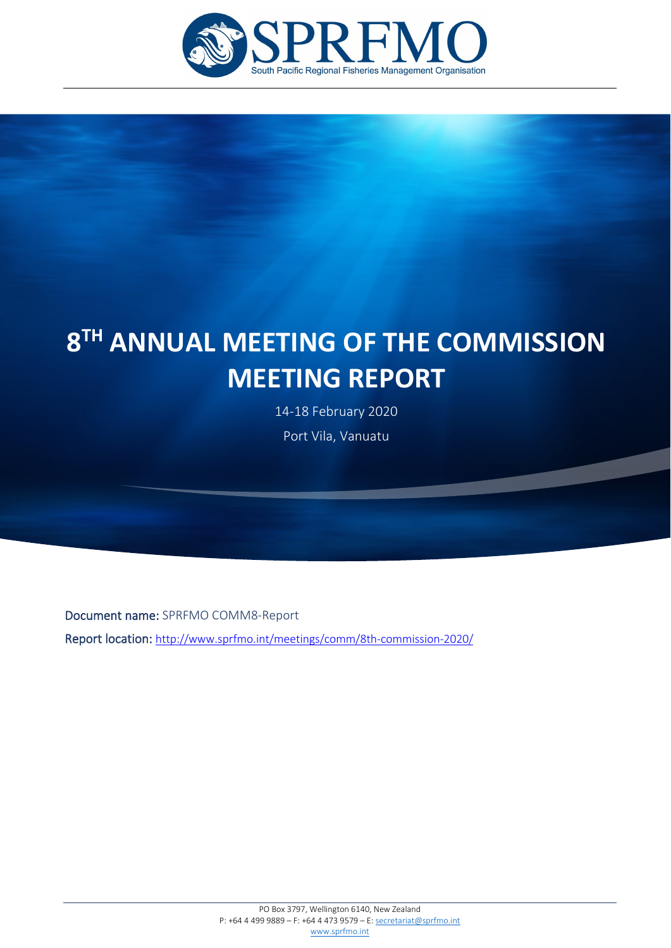

# **8TH ANNUAL MEETING OF THE COMMISSION MEETING REPORT**

14-18 February 2020 Port Vila, Vanuatu

Document name: SPRFMO COMM8-Report

j

Report location:<http://www.sprfmo.int/meetings/comm/8th-commission-2020/>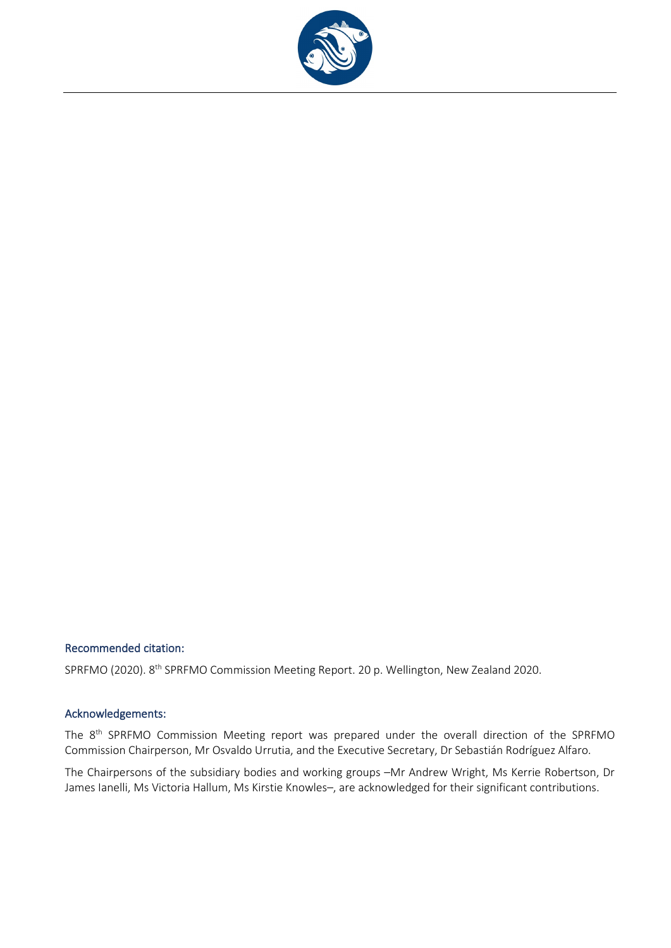

## Recommended citation:

SPRFMO (2020). 8<sup>th</sup> SPRFMO Commission Meeting Report. 20 p. Wellington, New Zealand 2020.

#### Acknowledgements:

The 8<sup>th</sup> SPRFMO Commission Meeting report was prepared under the overall direction of the SPRFMO Commission Chairperson, Mr Osvaldo Urrutia, and the Executive Secretary, Dr Sebastián Rodríguez Alfaro.

The Chairpersons of the subsidiary bodies and working groups –Mr Andrew Wright, Ms Kerrie Robertson, Dr James Ianelli, Ms Victoria Hallum, Ms Kirstie Knowles–, are acknowledged for their significant contributions.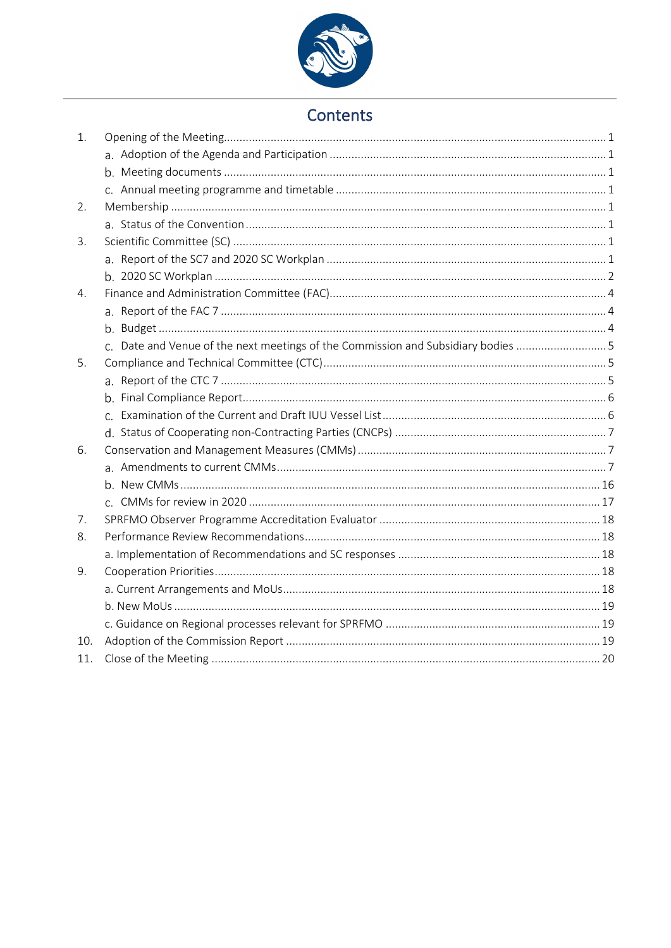

# Contents

| 1.  |                                                                                  |  |
|-----|----------------------------------------------------------------------------------|--|
|     |                                                                                  |  |
|     |                                                                                  |  |
|     |                                                                                  |  |
| 2.  |                                                                                  |  |
|     |                                                                                  |  |
| 3.  |                                                                                  |  |
|     |                                                                                  |  |
|     |                                                                                  |  |
| 4.  |                                                                                  |  |
|     |                                                                                  |  |
|     |                                                                                  |  |
|     | c. Date and Venue of the next meetings of the Commission and Subsidiary bodies 5 |  |
| 5.  |                                                                                  |  |
|     |                                                                                  |  |
|     |                                                                                  |  |
|     |                                                                                  |  |
|     |                                                                                  |  |
| 6.  |                                                                                  |  |
|     |                                                                                  |  |
|     |                                                                                  |  |
|     |                                                                                  |  |
| 7.  |                                                                                  |  |
| 8.  |                                                                                  |  |
|     |                                                                                  |  |
| 9.  |                                                                                  |  |
|     |                                                                                  |  |
|     |                                                                                  |  |
|     |                                                                                  |  |
| 10. |                                                                                  |  |
| 11. |                                                                                  |  |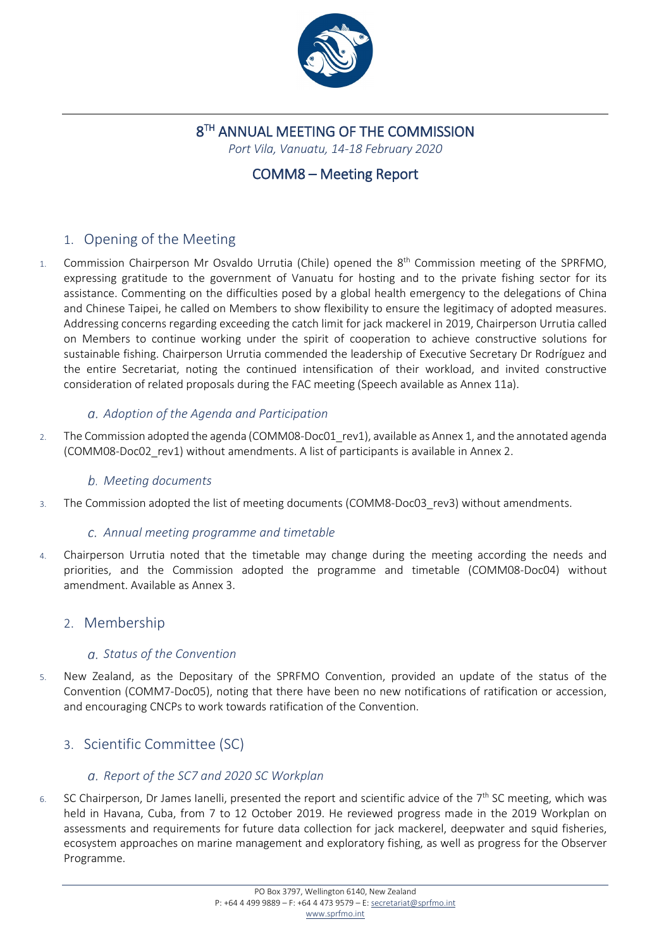

# 8<sup>TH</sup> ANNUAL MEETING OF THE COMMISSION

*Port Vila, Vanuatu, 14-18 February 2020*

# COMM8 – Meeting Report

# <span id="page-3-0"></span>1. Opening of the Meeting

1. Commission Chairperson Mr Osvaldo Urrutia (Chile) opened the  $8<sup>th</sup>$  Commission meeting of the SPRFMO, expressing gratitude to the government of Vanuatu for hosting and to the private fishing sector for its assistance. Commenting on the difficulties posed by a global health emergency to the delegations of China and Chinese Taipei, he called on Members to show flexibility to ensure the legitimacy of adopted measures. Addressing concerns regarding exceeding the catch limit for jack mackerel in 2019, Chairperson Urrutia called on Members to continue working under the spirit of cooperation to achieve constructive solutions for sustainable fishing. Chairperson Urrutia commended the leadership of Executive Secretary Dr Rodríguez and the entire Secretariat, noting the continued intensification of their workload, and invited constructive consideration of related proposals during the FAC meeting (Speech available as Annex 11a).

## <span id="page-3-1"></span>*Adoption of the Agenda and Participation*

2. The Commission adopted the agenda (COMM08-Doc01 rev1), available as Annex 1, and the annotated agenda (COMM08-Doc02\_rev1) without amendments. A list of participants is available in Annex 2.

## <span id="page-3-2"></span>*Meeting documents*

3. The Commission adopted the list of meeting documents (COMM8-Doc03\_rev3) without amendments.

## <span id="page-3-3"></span>*Annual meeting programme and timetable*

4. Chairperson Urrutia noted that the timetable may change during the meeting according the needs and priorities, and the Commission adopted the programme and timetable (COMM08-Doc04) without amendment. Available as Annex 3.

## <span id="page-3-5"></span><span id="page-3-4"></span>2. Membership

## *Status of the Convention*

5. New Zealand, as the Depositary of the SPRFMO Convention, provided an update of the status of the Convention (COMM7-Doc05), noting that there have been no new notifications of ratification or accession, and encouraging CNCPs to work towards ratification of the Convention.

# <span id="page-3-7"></span><span id="page-3-6"></span>3. Scientific Committee (SC)

## *Report of the SC7 and 2020 SC Workplan*

6. SC Chairperson, Dr James Ianelli, presented the report and scientific advice of the  $7<sup>th</sup>$  SC meeting, which was held in Havana, Cuba, from 7 to 12 October 2019. He reviewed progress made in the 2019 Workplan on assessments and requirements for future data collection for jack mackerel, deepwater and squid fisheries, ecosystem approaches on marine management and exploratory fishing, as well as progress for the Observer Programme.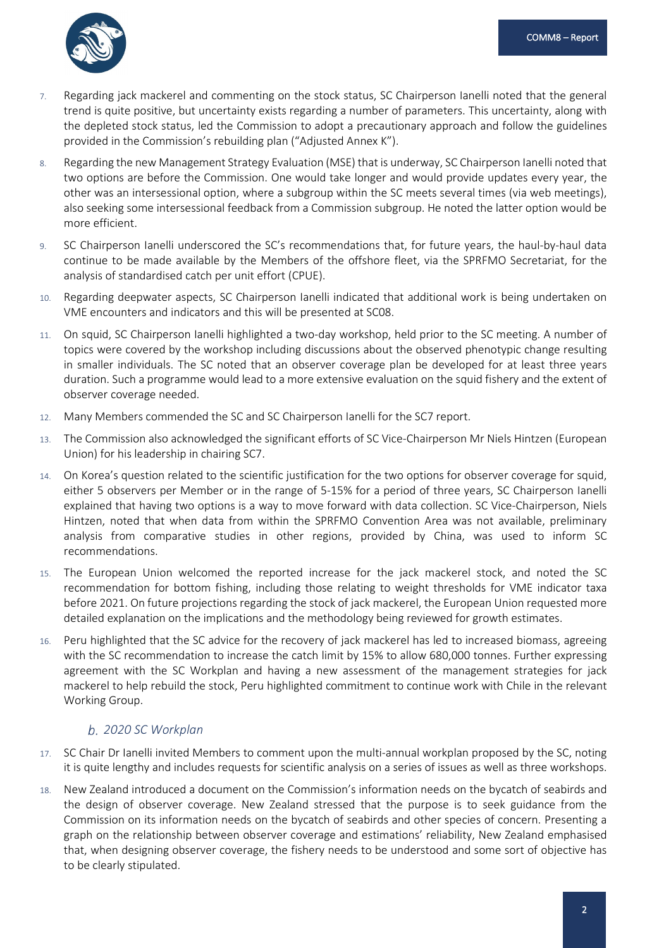

- 7. Regarding jack mackerel and commenting on the stock status, SC Chairperson Ianelli noted that the general trend is quite positive, but uncertainty exists regarding a number of parameters. This uncertainty, along with the depleted stock status, led the Commission to adopt a precautionary approach and follow the guidelines provided in the Commission's rebuilding plan ("Adjusted Annex K").
- 8. Regarding the new Management Strategy Evaluation (MSE) that is underway, SC Chairperson Ianelli noted that two options are before the Commission. One would take longer and would provide updates every year, the other was an intersessional option, where a subgroup within the SC meets several times (via web meetings), also seeking some intersessional feedback from a Commission subgroup. He noted the latter option would be more efficient.
- 9. SC Chairperson Ianelli underscored the SC's recommendations that, for future years, the haul-by-haul data continue to be made available by the Members of the offshore fleet, via the SPRFMO Secretariat, for the analysis of standardised catch per unit effort (CPUE).
- 10. Regarding deepwater aspects, SC Chairperson Ianelli indicated that additional work is being undertaken on VME encounters and indicators and this will be presented at SC08.
- 11. On squid, SC Chairperson Ianelli highlighted a two-day workshop, held prior to the SC meeting. A number of topics were covered by the workshop including discussions about the observed phenotypic change resulting in smaller individuals. The SC noted that an observer coverage plan be developed for at least three years duration. Such a programme would lead to a more extensive evaluation on the squid fishery and the extent of observer coverage needed.
- 12. Many Members commended the SC and SC Chairperson Ianelli for the SC7 report.
- 13. The Commission also acknowledged the significant efforts of SC Vice-Chairperson Mr Niels Hintzen (European Union) for his leadership in chairing SC7.
- 14. On Korea's question related to the scientific justification for the two options for observer coverage for squid, either 5 observers per Member or in the range of 5-15% for a period of three years, SC Chairperson Ianelli explained that having two options is a way to move forward with data collection. SC Vice-Chairperson, Niels Hintzen, noted that when data from within the SPRFMO Convention Area was not available, preliminary analysis from comparative studies in other regions, provided by China, was used to inform SC recommendations.
- 15. The European Union welcomed the reported increase for the jack mackerel stock, and noted the SC recommendation for bottom fishing, including those relating to weight thresholds for VME indicator taxa before 2021. On future projections regarding the stock of jack mackerel, the European Union requested more detailed explanation on the implications and the methodology being reviewed for growth estimates.
- 16. Peru highlighted that the SC advice for the recovery of jack mackerel has led to increased biomass, agreeing with the SC recommendation to increase the catch limit by 15% to allow 680,000 tonnes. Further expressing agreement with the SC Workplan and having a new assessment of the management strategies for jack mackerel to help rebuild the stock, Peru highlighted commitment to continue work with Chile in the relevant Working Group.

## <span id="page-4-0"></span>*2020 SC Workplan*

- 17. SC Chair Dr Ianelli invited Members to comment upon the multi-annual workplan proposed by the SC, noting it is quite lengthy and includes requests for scientific analysis on a series of issues as well as three workshops.
- 18. New Zealand introduced a document on the Commission's information needs on the bycatch of seabirds and the design of observer coverage. New Zealand stressed that the purpose is to seek guidance from the Commission on its information needs on the bycatch of seabirds and other species of concern. Presenting a graph on the relationship between observer coverage and estimations' reliability, New Zealand emphasised that, when designing observer coverage, the fishery needs to be understood and some sort of objective has to be clearly stipulated.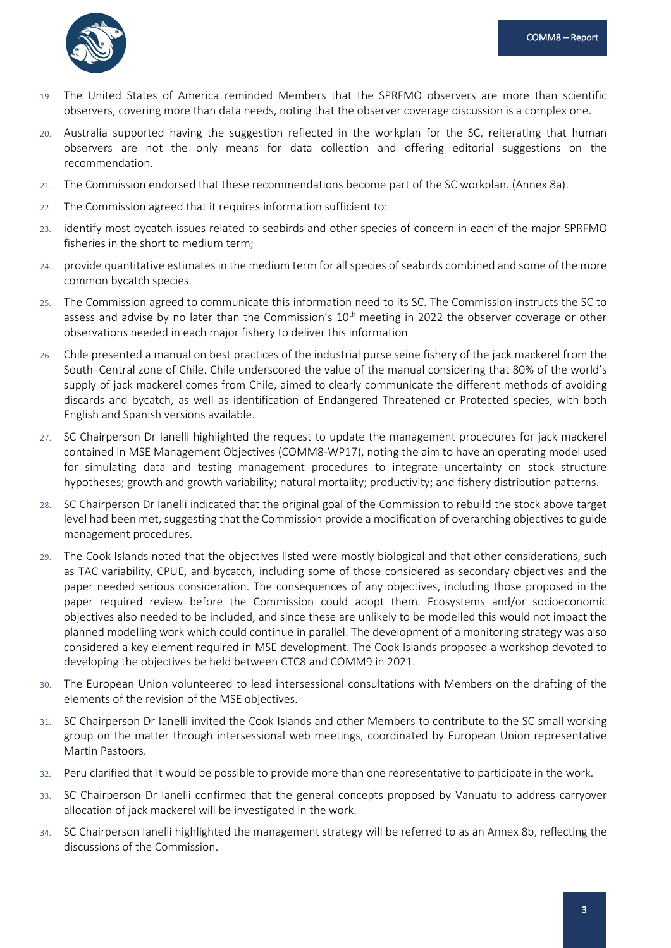

- 19. The United States of America reminded Members that the SPRFMO observers are more than scientific observers, covering more than data needs, noting that the observer coverage discussion is a complex one.
- 20. Australia supported having the suggestion reflected in the workplan for the SC, reiterating that human observers are not the only means for data collection and offering editorial suggestions on the recommendation.
- 21. The Commission endorsed that these recommendations become part of the SC workplan. (Annex 8a).
- 22. The Commission agreed that it requires information sufficient to:
- 23. identify most bycatch issues related to seabirds and other species of concern in each of the major SPRFMO fisheries in the short to medium term;
- 24. provide quantitative estimates in the medium term for all species of seabirds combined and some of the more common bycatch species.
- 25. The Commission agreed to communicate this information need to its SC. The Commission instructs the SC to assess and advise by no later than the Commission's  $10<sup>th</sup>$  meeting in 2022 the observer coverage or other observations needed in each major fishery to deliver this information
- 26. Chile presented a manual on best practices of the industrial purse seine fishery of the jack mackerel from the South–Central zone of Chile. Chile underscored the value of the manual considering that 80% of the world's supply of jack mackerel comes from Chile, aimed to clearly communicate the different methods of avoiding discards and bycatch, as well as identification of Endangered Threatened or Protected species, with both English and Spanish versions available.
- 27. SC Chairperson Dr Ianelli highlighted the request to update the management procedures for jack mackerel contained in MSE Management Objectives (COMM8-WP17), noting the aim to have an operating model used for simulating data and testing management procedures to integrate uncertainty on stock structure hypotheses; growth and growth variability; natural mortality; productivity; and fishery distribution patterns.
- 28. SC Chairperson Dr Ianelli indicated that the original goal of the Commission to rebuild the stock above target level had been met, suggesting that the Commission provide a modification of overarching objectives to guide management procedures.
- 29. The Cook Islands noted that the objectives listed were mostly biological and that other considerations, such as TAC variability, CPUE, and bycatch, including some of those considered as secondary objectives and the paper needed serious consideration. The consequences of any objectives, including those proposed in the paper required review before the Commission could adopt them. Ecosystems and/or socioeconomic objectives also needed to be included, and since these are unlikely to be modelled this would not impact the planned modelling work which could continue in parallel. The development of a monitoring strategy was also considered a key element required in MSE development. The Cook Islands proposed a workshop devoted to developing the objectives be held between CTC8 and COMM9 in 2021.
- 30. The European Union volunteered to lead intersessional consultations with Members on the drafting of the elements of the revision of the MSE objectives.
- 31. SC Chairperson Dr Ianelli invited the Cook Islands and other Members to contribute to the SC small working group on the matter through intersessional web meetings, coordinated by European Union representative Martin Pastoors.
- 32. Peru clarified that it would be possible to provide more than one representative to participate in the work.
- 33. SC Chairperson Dr Ianelli confirmed that the general concepts proposed by Vanuatu to address carryover allocation of jack mackerel will be investigated in the work.
- 34. SC Chairperson Ianelli highlighted the management strategy will be referred to as an Annex 8b, reflecting the discussions of the Commission.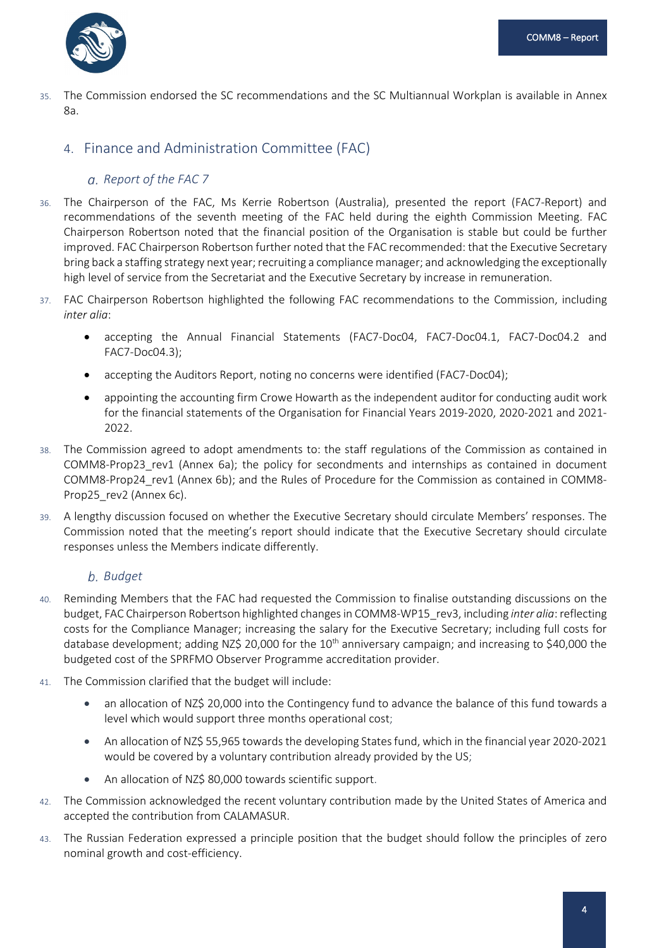

35. The Commission endorsed the SC recommendations and the SC Multiannual Workplan is available in Annex 8a.

## <span id="page-6-1"></span><span id="page-6-0"></span>4. Finance and Administration Committee (FAC)

## *Report of the FAC 7*

- 36. The Chairperson of the FAC, Ms Kerrie Robertson (Australia), presented the report (FAC7-Report) and recommendations of the seventh meeting of the FAC held during the eighth Commission Meeting. FAC Chairperson Robertson noted that the financial position of the Organisation is stable but could be further improved. FAC Chairperson Robertson further noted that the FAC recommended: that the Executive Secretary bring back a staffing strategy next year; recruiting a compliance manager; and acknowledging the exceptionally high level of service from the Secretariat and the Executive Secretary by increase in remuneration.
- 37. FAC Chairperson Robertson highlighted the following FAC recommendations to the Commission, including *inter alia*:
	- accepting the Annual Financial Statements (FAC7-Doc04, FAC7-Doc04.1, FAC7-Doc04.2 and FAC7-Doc04.3);
	- accepting the Auditors Report, noting no concerns were identified (FAC7-Doc04);
	- appointing the accounting firm Crowe Howarth as the independent auditor for conducting audit work for the financial statements of the Organisation for Financial Years 2019-2020, 2020-2021 and 2021- 2022.
- 38. The Commission agreed to adopt amendments to: the staff regulations of the Commission as contained in COMM8-Prop23\_rev1 (Annex 6a); the policy for secondments and internships as contained in document COMM8-Prop24\_rev1 (Annex 6b); and the Rules of Procedure for the Commission as contained in COMM8- Prop25\_rev2 (Annex 6c).
- 39. A lengthy discussion focused on whether the Executive Secretary should circulate Members' responses. The Commission noted that the meeting's report should indicate that the Executive Secretary should circulate responses unless the Members indicate differently.

## <span id="page-6-2"></span>*Budget*

- 40. Reminding Members that the FAC had requested the Commission to finalise outstanding discussions on the budget, FAC Chairperson Robertson highlighted changes in COMM8-WP15\_rev3, including *inter alia*: reflecting costs for the Compliance Manager; increasing the salary for the Executive Secretary; including full costs for database development; adding NZ\$ 20,000 for the 10<sup>th</sup> anniversary campaign; and increasing to \$40,000 the budgeted cost of the SPRFMO Observer Programme accreditation provider.
- 41. The Commission clarified that the budget will include:
	- an allocation of NZ\$ 20,000 into the Contingency fund to advance the balance of this fund towards a level which would support three months operational cost;
	- An allocation of NZ\$ 55,965 towards the developing States fund, which in the financial year 2020-2021 would be covered by a voluntary contribution already provided by the US;
	- An allocation of NZ\$ 80,000 towards scientific support.
- 42. The Commission acknowledged the recent voluntary contribution made by the United States of America and accepted the contribution from CALAMASUR.
- 43. The Russian Federation expressed a principle position that the budget should follow the principles of zero nominal growth and cost-efficiency.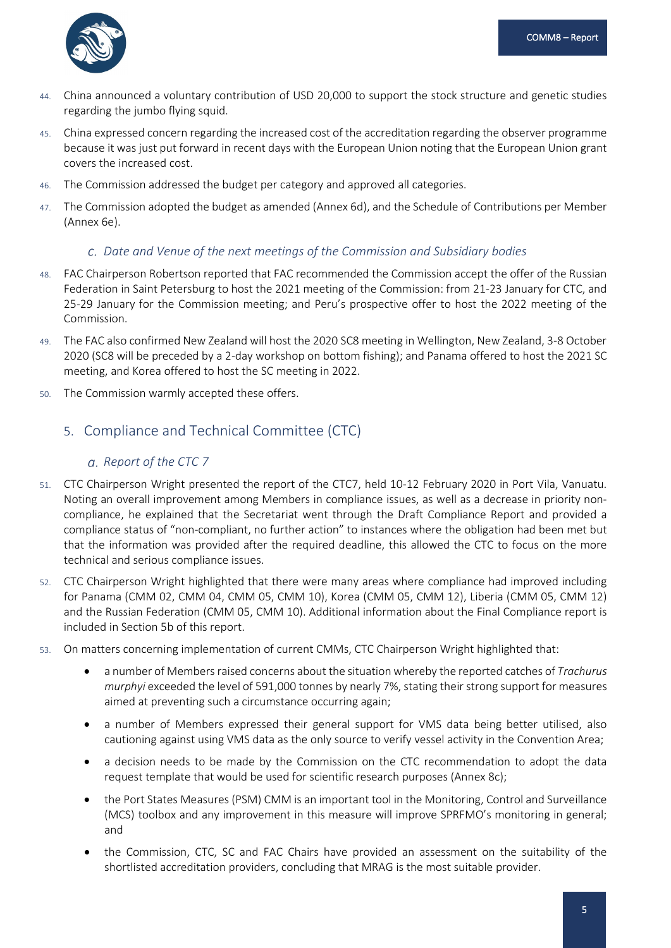

- 44. China announced a voluntary contribution of USD 20,000 to support the stock structure and genetic studies regarding the jumbo flying squid.
- 45. China expressed concern regarding the increased cost of the accreditation regarding the observer programme because it was just put forward in recent days with the European Union noting that the European Union grant covers the increased cost.
- 46. The Commission addressed the budget per category and approved all categories.
- 47. The Commission adopted the budget as amended (Annex 6d), and the Schedule of Contributions per Member (Annex 6e).

## <span id="page-7-0"></span>*Date and Venue of the next meetings of the Commission and Subsidiary bodies*

- 48. FAC Chairperson Robertson reported that FAC recommended the Commission accept the offer of the Russian Federation in Saint Petersburg to host the 2021 meeting of the Commission: from 21-23 January for CTC, and 25-29 January for the Commission meeting; and Peru's prospective offer to host the 2022 meeting of the Commission.
- 49. The FAC also confirmed New Zealand will host the 2020 SC8 meeting in Wellington, New Zealand, 3-8 October 2020 (SC8 will be preceded by a 2-day workshop on bottom fishing); and Panama offered to host the 2021 SC meeting, and Korea offered to host the SC meeting in 2022.
- 50. The Commission warmly accepted these offers.

# <span id="page-7-2"></span><span id="page-7-1"></span>5. Compliance and Technical Committee (CTC)

## *Report of the CTC 7*

- 51. CTC Chairperson Wright presented the report of the CTC7, held 10-12 February 2020 in Port Vila, Vanuatu. Noting an overall improvement among Members in compliance issues, as well as a decrease in priority noncompliance, he explained that the Secretariat went through the Draft Compliance Report and provided a compliance status of "non-compliant, no further action" to instances where the obligation had been met but that the information was provided after the required deadline, this allowed the CTC to focus on the more technical and serious compliance issues.
- 52. CTC Chairperson Wright highlighted that there were many areas where compliance had improved including for Panama (CMM 02, CMM 04, CMM 05, CMM 10), Korea (CMM 05, CMM 12), Liberia (CMM 05, CMM 12) and the Russian Federation (CMM 05, CMM 10). Additional information about the Final Compliance report is included in Section 5b of this report.
- 53. On matters concerning implementation of current CMMs, CTC Chairperson Wright highlighted that:
	- a number of Members raised concerns about the situation whereby the reported catches of *Trachurus murphyi* exceeded the level of 591,000 tonnes by nearly 7%, stating their strong support for measures aimed at preventing such a circumstance occurring again;
	- a number of Members expressed their general support for VMS data being better utilised, also cautioning against using VMS data as the only source to verify vessel activity in the Convention Area;
	- a decision needs to be made by the Commission on the CTC recommendation to adopt the data request template that would be used for scientific research purposes (Annex 8c);
	- the Port States Measures (PSM) CMM is an important tool in the Monitoring, Control and Surveillance (MCS) toolbox and any improvement in this measure will improve SPRFMO's monitoring in general; and
	- the Commission, CTC, SC and FAC Chairs have provided an assessment on the suitability of the shortlisted accreditation providers, concluding that MRAG is the most suitable provider.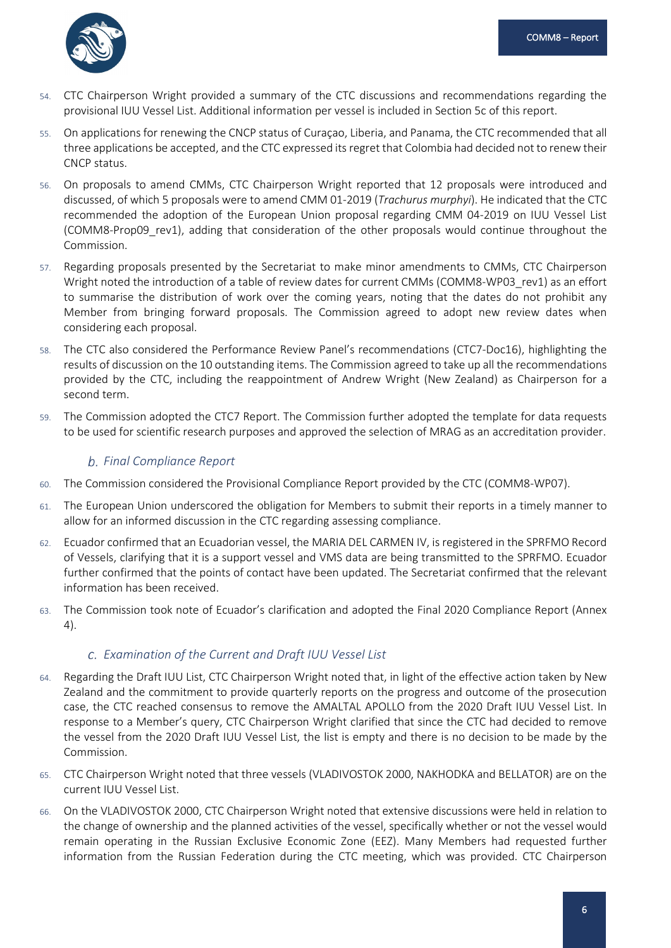

- 54. CTC Chairperson Wright provided a summary of the CTC discussions and recommendations regarding the provisional IUU Vessel List. Additional information per vessel is included in Section 5c of this report.
- 55. On applications for renewing the CNCP status of Curaçao, Liberia, and Panama, the CTC recommended that all three applications be accepted, and the CTC expressed its regret that Colombia had decided not to renew their CNCP status.
- 56. On proposals to amend CMMs, CTC Chairperson Wright reported that 12 proposals were introduced and discussed, of which 5 proposals were to amend CMM 01-2019 (*Trachurus murphyi*). He indicated that the CTC recommended the adoption of the European Union proposal regarding CMM 04-2019 on IUU Vessel List (COMM8-Prop09\_rev1), adding that consideration of the other proposals would continue throughout the Commission.
- 57. Regarding proposals presented by the Secretariat to make minor amendments to CMMs, CTC Chairperson Wright noted the introduction of a table of review dates for current CMMs (COMM8-WP03\_rev1) as an effort to summarise the distribution of work over the coming years, noting that the dates do not prohibit any Member from bringing forward proposals. The Commission agreed to adopt new review dates when considering each proposal.
- 58. The CTC also considered the Performance Review Panel's recommendations (CTC7-Doc16), highlighting the results of discussion on the 10 outstanding items. The Commission agreed to take up all the recommendations provided by the CTC, including the reappointment of Andrew Wright (New Zealand) as Chairperson for a second term.
- 59. The Commission adopted the CTC7 Report. The Commission further adopted the template for data requests to be used for scientific research purposes and approved the selection of MRAG as an accreditation provider.

## <span id="page-8-0"></span>*Final Compliance Report*

- 60. The Commission considered the Provisional Compliance Report provided by the CTC (COMM8-WP07).
- 61. The European Union underscored the obligation for Members to submit their reports in a timely manner to allow for an informed discussion in the CTC regarding assessing compliance.
- 62. Ecuador confirmed that an Ecuadorian vessel, the MARIA DEL CARMEN IV, is registered in the SPRFMO Record of Vessels, clarifying that it is a support vessel and VMS data are being transmitted to the SPRFMO. Ecuador further confirmed that the points of contact have been updated. The Secretariat confirmed that the relevant information has been received.
- 63. The Commission took note of Ecuador's clarification and adopted the Final 2020 Compliance Report (Annex 4).

## <span id="page-8-1"></span>*Examination of the Current and Draft IUU Vessel List*

- 64. Regarding the Draft IUU List, CTC Chairperson Wright noted that, in light of the effective action taken by New Zealand and the commitment to provide quarterly reports on the progress and outcome of the prosecution case, the CTC reached consensus to remove the AMALTAL APOLLO from the 2020 Draft IUU Vessel List. In response to a Member's query, CTC Chairperson Wright clarified that since the CTC had decided to remove the vessel from the 2020 Draft IUU Vessel List, the list is empty and there is no decision to be made by the Commission.
- 65. CTC Chairperson Wright noted that three vessels (VLADIVOSTOK 2000, NAKHODKA and BELLATOR) are on the current IUU Vessel List.
- 66. On the VLADIVOSTOK 2000, CTC Chairperson Wright noted that extensive discussions were held in relation to the change of ownership and the planned activities of the vessel, specifically whether or not the vessel would remain operating in the Russian Exclusive Economic Zone (EEZ). Many Members had requested further information from the Russian Federation during the CTC meeting, which was provided. CTC Chairperson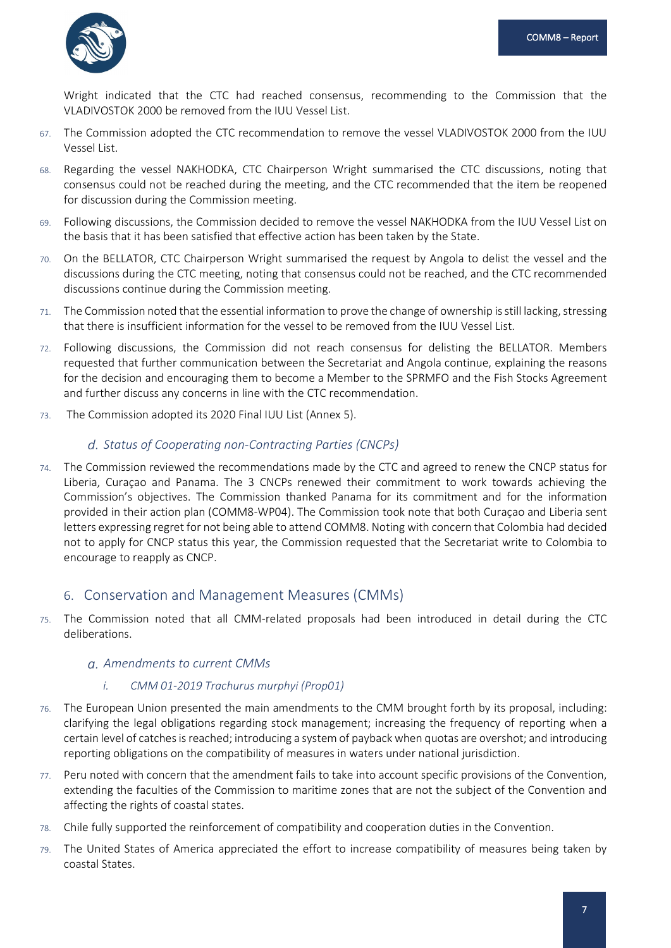

Wright indicated that the CTC had reached consensus, recommending to the Commission that the VLADIVOSTOK 2000 be removed from the IUU Vessel List.

- 67. The Commission adopted the CTC recommendation to remove the vessel VLADIVOSTOK 2000 from the IUU Vessel List.
- 68. Regarding the vessel NAKHODKA, CTC Chairperson Wright summarised the CTC discussions, noting that consensus could not be reached during the meeting, and the CTC recommended that the item be reopened for discussion during the Commission meeting.
- 69. Following discussions, the Commission decided to remove the vessel NAKHODKA from the IUU Vessel List on the basis that it has been satisfied that effective action has been taken by the State.
- 70. On the BELLATOR, CTC Chairperson Wright summarised the request by Angola to delist the vessel and the discussions during the CTC meeting, noting that consensus could not be reached, and the CTC recommended discussions continue during the Commission meeting.
- 71. The Commission noted that the essential information to prove the change of ownership is still lacking, stressing that there is insufficient information for the vessel to be removed from the IUU Vessel List.
- 72. Following discussions, the Commission did not reach consensus for delisting the BELLATOR. Members requested that further communication between the Secretariat and Angola continue, explaining the reasons for the decision and encouraging them to become a Member to the SPRMFO and the Fish Stocks Agreement and further discuss any concerns in line with the CTC recommendation.
- 73. The Commission adopted its 2020 Final IUU List (Annex 5).

#### <span id="page-9-0"></span>*Status of Cooperating non-Contracting Parties (CNCPs)*

74. The Commission reviewed the recommendations made by the CTC and agreed to renew the CNCP status for Liberia, Curaçao and Panama. The 3 CNCPs renewed their commitment to work towards achieving the Commission's objectives. The Commission thanked Panama for its commitment and for the information provided in their action plan (COMM8-WP04). The Commission took note that both Curaçao and Liberia sent letters expressing regret for not being able to attend COMM8. Noting with concern that Colombia had decided not to apply for CNCP status this year, the Commission requested that the Secretariat write to Colombia to encourage to reapply as CNCP.

## <span id="page-9-1"></span>6. Conservation and Management Measures (CMMs)

75. The Commission noted that all CMM-related proposals had been introduced in detail during the CTC deliberations.

#### <span id="page-9-2"></span>*Amendments to current CMMs*

#### *i. CMM 01-2019 Trachurus murphyi (Prop01)*

- 76. The European Union presented the main amendments to the CMM brought forth by its proposal, including: clarifying the legal obligations regarding stock management; increasing the frequency of reporting when a certain level of catches is reached; introducing a system of payback when quotas are overshot; and introducing reporting obligations on the compatibility of measures in waters under national jurisdiction.
- 77. Peru noted with concern that the amendment fails to take into account specific provisions of the Convention, extending the faculties of the Commission to maritime zones that are not the subject of the Convention and affecting the rights of coastal states.
- 78. Chile fully supported the reinforcement of compatibility and cooperation duties in the Convention.
- 79. The United States of America appreciated the effort to increase compatibility of measures being taken by coastal States.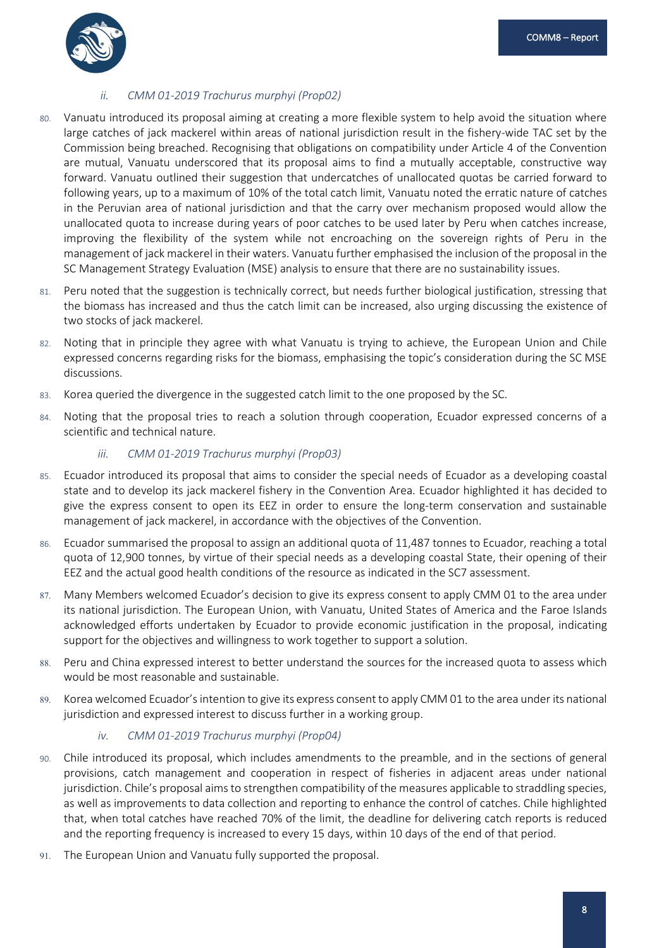

## *ii. CMM 01-2019 Trachurus murphyi (Prop02)*

- 80. Vanuatu introduced its proposal aiming at creating a more flexible system to help avoid the situation where large catches of jack mackerel within areas of national jurisdiction result in the fishery-wide TAC set by the Commission being breached. Recognising that obligations on compatibility under Article 4 of the Convention are mutual, Vanuatu underscored that its proposal aims to find a mutually acceptable, constructive way forward. Vanuatu outlined their suggestion that undercatches of unallocated quotas be carried forward to following years, up to a maximum of 10% of the total catch limit, Vanuatu noted the erratic nature of catches in the Peruvian area of national jurisdiction and that the carry over mechanism proposed would allow the unallocated quota to increase during years of poor catches to be used later by Peru when catches increase, improving the flexibility of the system while not encroaching on the sovereign rights of Peru in the management of jack mackerel in their waters. Vanuatu further emphasised the inclusion of the proposal in the SC Management Strategy Evaluation (MSE) analysis to ensure that there are no sustainability issues.
- 81. Peru noted that the suggestion is technically correct, but needs further biological justification, stressing that the biomass has increased and thus the catch limit can be increased, also urging discussing the existence of two stocks of jack mackerel.
- 82. Noting that in principle they agree with what Vanuatu is trying to achieve, the European Union and Chile expressed concerns regarding risks for the biomass, emphasising the topic's consideration during the SC MSE discussions.
- 83. Korea queried the divergence in the suggested catch limit to the one proposed by the SC.
- 84. Noting that the proposal tries to reach a solution through cooperation, Ecuador expressed concerns of a scientific and technical nature.

#### *iii. CMM 01-2019 Trachurus murphyi (Prop03)*

- 85. Ecuador introduced its proposal that aims to consider the special needs of Ecuador as a developing coastal state and to develop its jack mackerel fishery in the Convention Area. Ecuador highlighted it has decided to give the express consent to open its EEZ in order to ensure the long-term conservation and sustainable management of jack mackerel, in accordance with the objectives of the Convention.
- 86. Ecuador summarised the proposal to assign an additional quota of 11,487 tonnes to Ecuador, reaching a total quota of 12,900 tonnes, by virtue of their special needs as a developing coastal State, their opening of their EEZ and the actual good health conditions of the resource as indicated in the SC7 assessment.
- 87. Many Members welcomed Ecuador's decision to give its express consent to apply CMM 01 to the area under its national jurisdiction. The European Union, with Vanuatu, United States of America and the Faroe Islands acknowledged efforts undertaken by Ecuador to provide economic justification in the proposal, indicating support for the objectives and willingness to work together to support a solution.
- 88. Peru and China expressed interest to better understand the sources for the increased quota to assess which would be most reasonable and sustainable.
- 89. Korea welcomed Ecuador's intention to give its express consent to apply CMM 01 to the area under its national jurisdiction and expressed interest to discuss further in a working group.

#### *iv. CMM 01-2019 Trachurus murphyi (Prop04)*

- 90. Chile introduced its proposal, which includes amendments to the preamble, and in the sections of general provisions, catch management and cooperation in respect of fisheries in adjacent areas under national jurisdiction. Chile's proposal aims to strengthen compatibility of the measures applicable to straddling species, as well as improvements to data collection and reporting to enhance the control of catches. Chile highlighted that, when total catches have reached 70% of the limit, the deadline for delivering catch reports is reduced and the reporting frequency is increased to every 15 days, within 10 days of the end of that period.
- 91. The European Union and Vanuatu fully supported the proposal.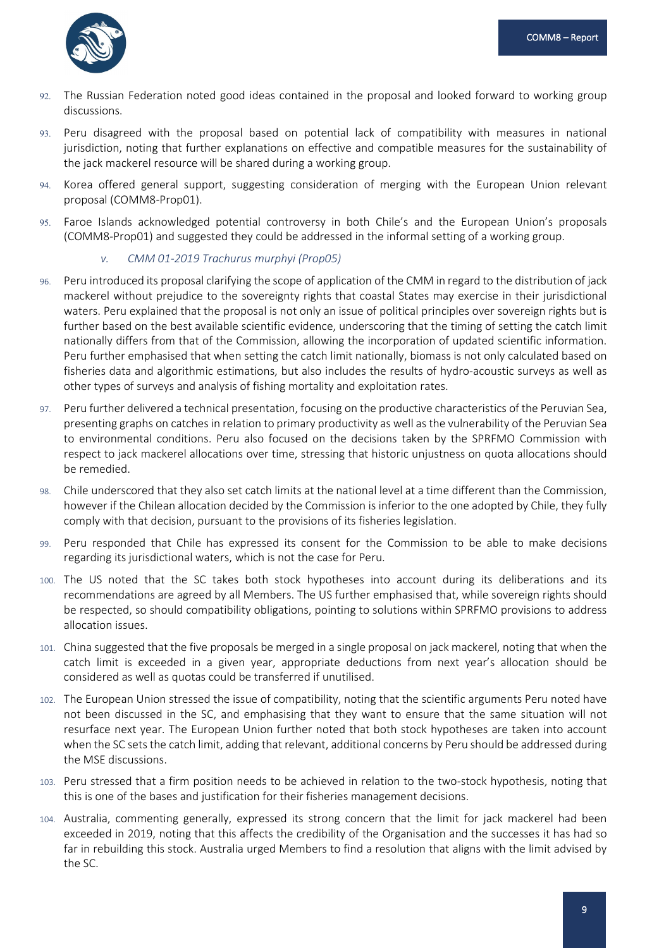

- 92. The Russian Federation noted good ideas contained in the proposal and looked forward to working group discussions.
- 93. Peru disagreed with the proposal based on potential lack of compatibility with measures in national jurisdiction, noting that further explanations on effective and compatible measures for the sustainability of the jack mackerel resource will be shared during a working group.
- 94. Korea offered general support, suggesting consideration of merging with the European Union relevant proposal (COMM8-Prop01).
- 95. Faroe Islands acknowledged potential controversy in both Chile's and the European Union's proposals (COMM8-Prop01) and suggested they could be addressed in the informal setting of a working group.

#### *v. CMM 01-2019 Trachurus murphyi (Prop05)*

- 96. Peru introduced its proposal clarifying the scope of application of the CMM in regard to the distribution of jack mackerel without prejudice to the sovereignty rights that coastal States may exercise in their jurisdictional waters. Peru explained that the proposal is not only an issue of political principles over sovereign rights but is further based on the best available scientific evidence, underscoring that the timing of setting the catch limit nationally differs from that of the Commission, allowing the incorporation of updated scientific information. Peru further emphasised that when setting the catch limit nationally, biomass is not only calculated based on fisheries data and algorithmic estimations, but also includes the results of hydro-acoustic surveys as well as other types of surveys and analysis of fishing mortality and exploitation rates.
- 97. Peru further delivered a technical presentation, focusing on the productive characteristics of the Peruvian Sea, presenting graphs on catches in relation to primary productivity as well as the vulnerability of the Peruvian Sea to environmental conditions. Peru also focused on the decisions taken by the SPRFMO Commission with respect to jack mackerel allocations over time, stressing that historic unjustness on quota allocations should be remedied.
- 98. Chile underscored that they also set catch limits at the national level at a time different than the Commission, however if the Chilean allocation decided by the Commission is inferior to the one adopted by Chile, they fully comply with that decision, pursuant to the provisions of its fisheries legislation.
- 99. Peru responded that Chile has expressed its consent for the Commission to be able to make decisions regarding its jurisdictional waters, which is not the case for Peru.
- 100. The US noted that the SC takes both stock hypotheses into account during its deliberations and its recommendations are agreed by all Members. The US further emphasised that, while sovereign rights should be respected, so should compatibility obligations, pointing to solutions within SPRFMO provisions to address allocation issues.
- 101. China suggested that the five proposals be merged in a single proposal on jack mackerel, noting that when the catch limit is exceeded in a given year, appropriate deductions from next year's allocation should be considered as well as quotas could be transferred if unutilised.
- 102. The European Union stressed the issue of compatibility, noting that the scientific arguments Peru noted have not been discussed in the SC, and emphasising that they want to ensure that the same situation will not resurface next year. The European Union further noted that both stock hypotheses are taken into account when the SC sets the catch limit, adding that relevant, additional concerns by Peru should be addressed during the MSE discussions.
- 103. Peru stressed that a firm position needs to be achieved in relation to the two-stock hypothesis, noting that this is one of the bases and justification for their fisheries management decisions.
- 104. Australia, commenting generally, expressed its strong concern that the limit for jack mackerel had been exceeded in 2019, noting that this affects the credibility of the Organisation and the successes it has had so far in rebuilding this stock. Australia urged Members to find a resolution that aligns with the limit advised by the SC.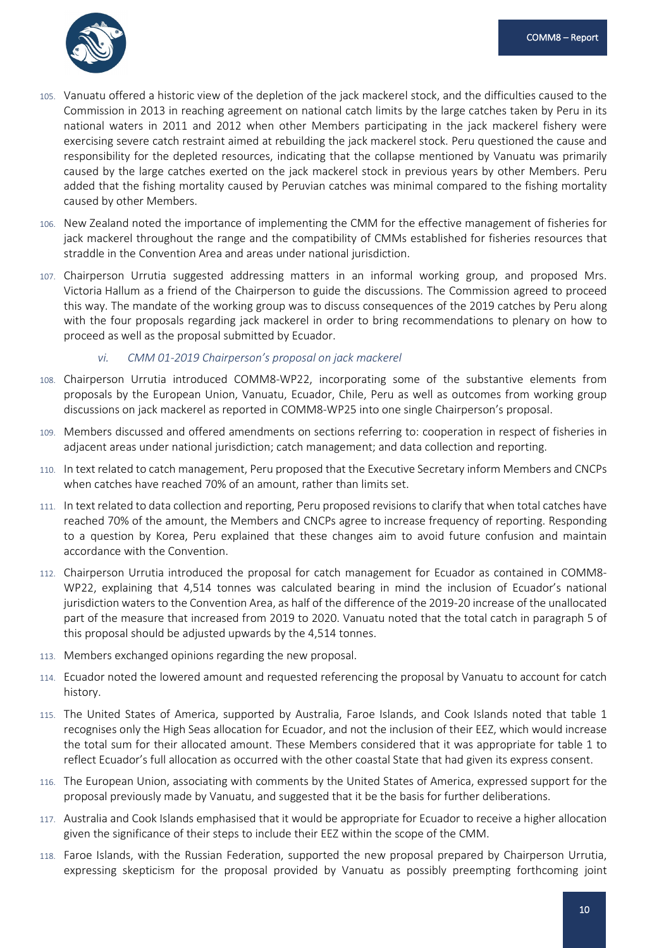

- 105. Vanuatu offered a historic view of the depletion of the jack mackerel stock, and the difficulties caused to the Commission in 2013 in reaching agreement on national catch limits by the large catches taken by Peru in its national waters in 2011 and 2012 when other Members participating in the jack mackerel fishery were exercising severe catch restraint aimed at rebuilding the jack mackerel stock. Peru questioned the cause and responsibility for the depleted resources, indicating that the collapse mentioned by Vanuatu was primarily caused by the large catches exerted on the jack mackerel stock in previous years by other Members. Peru added that the fishing mortality caused by Peruvian catches was minimal compared to the fishing mortality caused by other Members.
- 106. New Zealand noted the importance of implementing the CMM for the effective management of fisheries for jack mackerel throughout the range and the compatibility of CMMs established for fisheries resources that straddle in the Convention Area and areas under national jurisdiction.
- 107. Chairperson Urrutia suggested addressing matters in an informal working group, and proposed Mrs. Victoria Hallum as a friend of the Chairperson to guide the discussions. The Commission agreed to proceed this way. The mandate of the working group was to discuss consequences of the 2019 catches by Peru along with the four proposals regarding jack mackerel in order to bring recommendations to plenary on how to proceed as well as the proposal submitted by Ecuador.

#### *vi. CMM 01-2019 Chairperson's proposal on jack mackerel*

- 108. Chairperson Urrutia introduced COMM8-WP22, incorporating some of the substantive elements from proposals by the European Union, Vanuatu, Ecuador, Chile, Peru as well as outcomes from working group discussions on jack mackerel as reported in COMM8-WP25 into one single Chairperson's proposal.
- 109. Members discussed and offered amendments on sections referring to: cooperation in respect of fisheries in adjacent areas under national jurisdiction; catch management; and data collection and reporting.
- 110. In text related to catch management, Peru proposed that the Executive Secretary inform Members and CNCPs when catches have reached 70% of an amount, rather than limits set.
- 111. In text related to data collection and reporting, Peru proposed revisions to clarify that when total catches have reached 70% of the amount, the Members and CNCPs agree to increase frequency of reporting. Responding to a question by Korea, Peru explained that these changes aim to avoid future confusion and maintain accordance with the Convention.
- 112. Chairperson Urrutia introduced the proposal for catch management for Ecuador as contained in COMM8- WP22, explaining that 4,514 tonnes was calculated bearing in mind the inclusion of Ecuador's national jurisdiction waters to the Convention Area, as half of the difference of the 2019-20 increase of the unallocated part of the measure that increased from 2019 to 2020. Vanuatu noted that the total catch in paragraph 5 of this proposal should be adjusted upwards by the 4,514 tonnes.
- 113. Members exchanged opinions regarding the new proposal.
- 114. Ecuador noted the lowered amount and requested referencing the proposal by Vanuatu to account for catch history.
- 115. The United States of America, supported by Australia, Faroe Islands, and Cook Islands noted that table 1 recognises only the High Seas allocation for Ecuador, and not the inclusion of their EEZ, which would increase the total sum for their allocated amount. These Members considered that it was appropriate for table 1 to reflect Ecuador's full allocation as occurred with the other coastal State that had given its express consent.
- 116. The European Union, associating with comments by the United States of America, expressed support for the proposal previously made by Vanuatu, and suggested that it be the basis for further deliberations.
- 117. Australia and Cook Islands emphasised that it would be appropriate for Ecuador to receive a higher allocation given the significance of their steps to include their EEZ within the scope of the CMM.
- 118. Faroe Islands, with the Russian Federation, supported the new proposal prepared by Chairperson Urrutia, expressing skepticism for the proposal provided by Vanuatu as possibly preempting forthcoming joint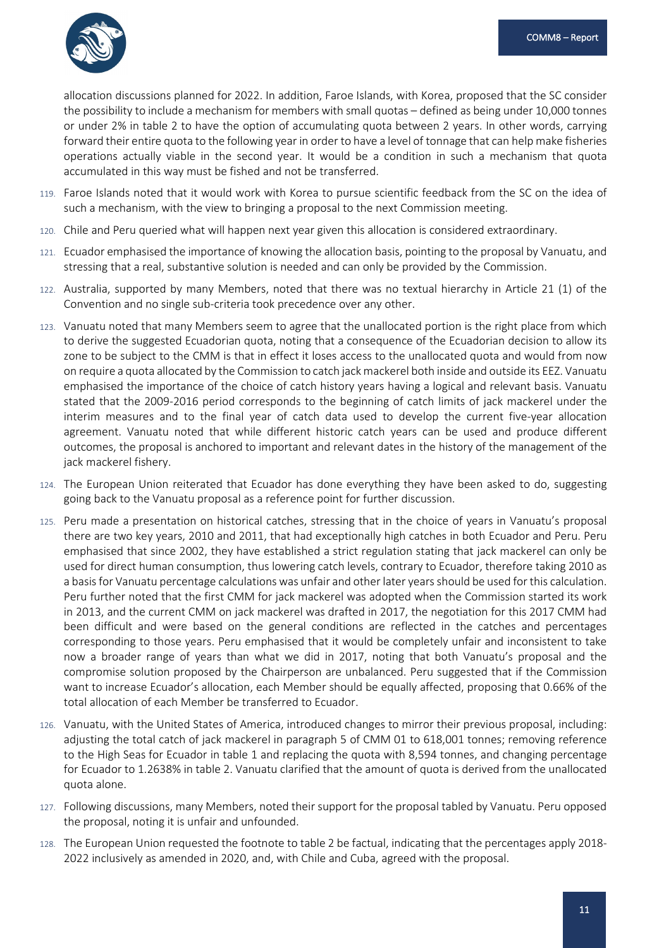

allocation discussions planned for 2022. In addition, Faroe Islands, with Korea, proposed that the SC consider the possibility to include a mechanism for members with small quotas – defined as being under 10,000 tonnes or under 2% in table 2 to have the option of accumulating quota between 2 years. In other words, carrying forward their entire quota to the following year in order to have a level of tonnage that can help make fisheries operations actually viable in the second year. It would be a condition in such a mechanism that quota accumulated in this way must be fished and not be transferred.

- 119. Faroe Islands noted that it would work with Korea to pursue scientific feedback from the SC on the idea of such a mechanism, with the view to bringing a proposal to the next Commission meeting.
- 120. Chile and Peru queried what will happen next year given this allocation is considered extraordinary.
- 121. Ecuador emphasised the importance of knowing the allocation basis, pointing to the proposal by Vanuatu, and stressing that a real, substantive solution is needed and can only be provided by the Commission.
- 122. Australia, supported by many Members, noted that there was no textual hierarchy in Article 21 (1) of the Convention and no single sub-criteria took precedence over any other.
- 123. Vanuatu noted that many Members seem to agree that the unallocated portion is the right place from which to derive the suggested Ecuadorian quota, noting that a consequence of the Ecuadorian decision to allow its zone to be subject to the CMM is that in effect it loses access to the unallocated quota and would from now on require a quota allocated by the Commission to catch jack mackerel both inside and outside its EEZ. Vanuatu emphasised the importance of the choice of catch history years having a logical and relevant basis. Vanuatu stated that the 2009-2016 period corresponds to the beginning of catch limits of jack mackerel under the interim measures and to the final year of catch data used to develop the current five-year allocation agreement. Vanuatu noted that while different historic catch years can be used and produce different outcomes, the proposal is anchored to important and relevant dates in the history of the management of the jack mackerel fishery.
- 124. The European Union reiterated that Ecuador has done everything they have been asked to do, suggesting going back to the Vanuatu proposal as a reference point for further discussion.
- 125. Peru made a presentation on historical catches, stressing that in the choice of years in Vanuatu's proposal there are two key years, 2010 and 2011, that had exceptionally high catches in both Ecuador and Peru. Peru emphasised that since 2002, they have established a strict regulation stating that jack mackerel can only be used for direct human consumption, thus lowering catch levels, contrary to Ecuador, therefore taking 2010 as a basis for Vanuatu percentage calculations was unfair and other later years should be used for this calculation. Peru further noted that the first CMM for jack mackerel was adopted when the Commission started its work in 2013, and the current CMM on jack mackerel was drafted in 2017, the negotiation for this 2017 CMM had been difficult and were based on the general conditions are reflected in the catches and percentages corresponding to those years. Peru emphasised that it would be completely unfair and inconsistent to take now a broader range of years than what we did in 2017, noting that both Vanuatu's proposal and the compromise solution proposed by the Chairperson are unbalanced. Peru suggested that if the Commission want to increase Ecuador's allocation, each Member should be equally affected, proposing that 0.66% of the total allocation of each Member be transferred to Ecuador.
- 126. Vanuatu, with the United States of America, introduced changes to mirror their previous proposal, including: adjusting the total catch of jack mackerel in paragraph 5 of CMM 01 to 618,001 tonnes; removing reference to the High Seas for Ecuador in table 1 and replacing the quota with 8,594 tonnes, and changing percentage for Ecuador to 1.2638% in table 2. Vanuatu clarified that the amount of quota is derived from the unallocated quota alone.
- 127. Following discussions, many Members, noted their support for the proposal tabled by Vanuatu. Peru opposed the proposal, noting it is unfair and unfounded.
- 128. The European Union requested the footnote to table 2 be factual, indicating that the percentages apply 2018- 2022 inclusively as amended in 2020, and, with Chile and Cuba, agreed with the proposal.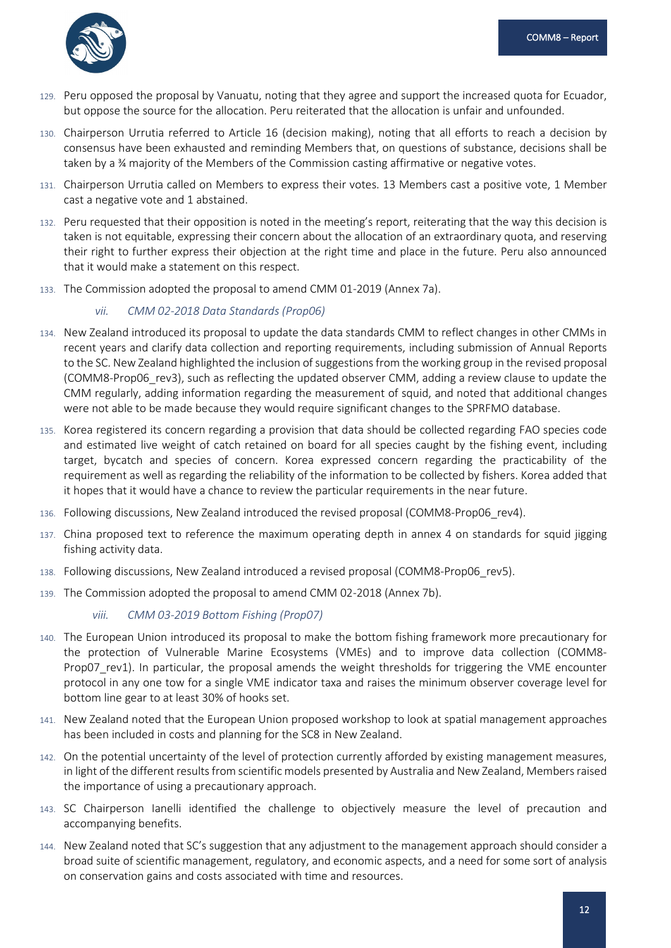

- 129. Peru opposed the proposal by Vanuatu, noting that they agree and support the increased quota for Ecuador, but oppose the source for the allocation. Peru reiterated that the allocation is unfair and unfounded.
- 130. Chairperson Urrutia referred to Article 16 (decision making), noting that all efforts to reach a decision by consensus have been exhausted and reminding Members that, on questions of substance, decisions shall be taken by a ¾ majority of the Members of the Commission casting affirmative or negative votes.
- 131. Chairperson Urrutia called on Members to express their votes. 13 Members cast a positive vote, 1 Member cast a negative vote and 1 abstained.
- 132. Peru requested that their opposition is noted in the meeting's report, reiterating that the way this decision is taken is not equitable, expressing their concern about the allocation of an extraordinary quota, and reserving their right to further express their objection at the right time and place in the future. Peru also announced that it would make a statement on this respect.
- 133. The Commission adopted the proposal to amend CMM 01-2019 (Annex 7a).

## *vii. CMM 02-2018 Data Standards (Prop06)*

- 134. New Zealand introduced its proposal to update the data standards CMM to reflect changes in other CMMs in recent years and clarify data collection and reporting requirements, including submission of Annual Reports to the SC. New Zealand highlighted the inclusion of suggestions from the working group in the revised proposal (COMM8-Prop06\_rev3), such as reflecting the updated observer CMM, adding a review clause to update the CMM regularly, adding information regarding the measurement of squid, and noted that additional changes were not able to be made because they would require significant changes to the SPRFMO database.
- 135. Korea registered its concern regarding a provision that data should be collected regarding FAO species code and estimated live weight of catch retained on board for all species caught by the fishing event, including target, bycatch and species of concern. Korea expressed concern regarding the practicability of the requirement as well as regarding the reliability of the information to be collected by fishers. Korea added that it hopes that it would have a chance to review the particular requirements in the near future.
- 136. Following discussions, New Zealand introduced the revised proposal (COMM8-Prop06\_rev4).
- 137. China proposed text to reference the maximum operating depth in annex 4 on standards for squid jigging fishing activity data.
- 138. Following discussions, New Zealand introduced a revised proposal (COMM8-Prop06\_rev5).
- 139. The Commission adopted the proposal to amend CMM 02-2018 (Annex 7b).

## *viii. CMM 03-2019 Bottom Fishing (Prop07)*

- 140. The European Union introduced its proposal to make the bottom fishing framework more precautionary for the protection of Vulnerable Marine Ecosystems (VMEs) and to improve data collection (COMM8- Prop07\_rev1). In particular, the proposal amends the weight thresholds for triggering the VME encounter protocol in any one tow for a single VME indicator taxa and raises the minimum observer coverage level for bottom line gear to at least 30% of hooks set.
- 141. New Zealand noted that the European Union proposed workshop to look at spatial management approaches has been included in costs and planning for the SC8 in New Zealand.
- 142. On the potential uncertainty of the level of protection currently afforded by existing management measures, in light of the different results from scientific models presented by Australia and New Zealand, Members raised the importance of using a precautionary approach.
- 143. SC Chairperson Ianelli identified the challenge to objectively measure the level of precaution and accompanying benefits.
- 144. New Zealand noted that SC's suggestion that any adjustment to the management approach should consider a broad suite of scientific management, regulatory, and economic aspects, and a need for some sort of analysis on conservation gains and costs associated with time and resources.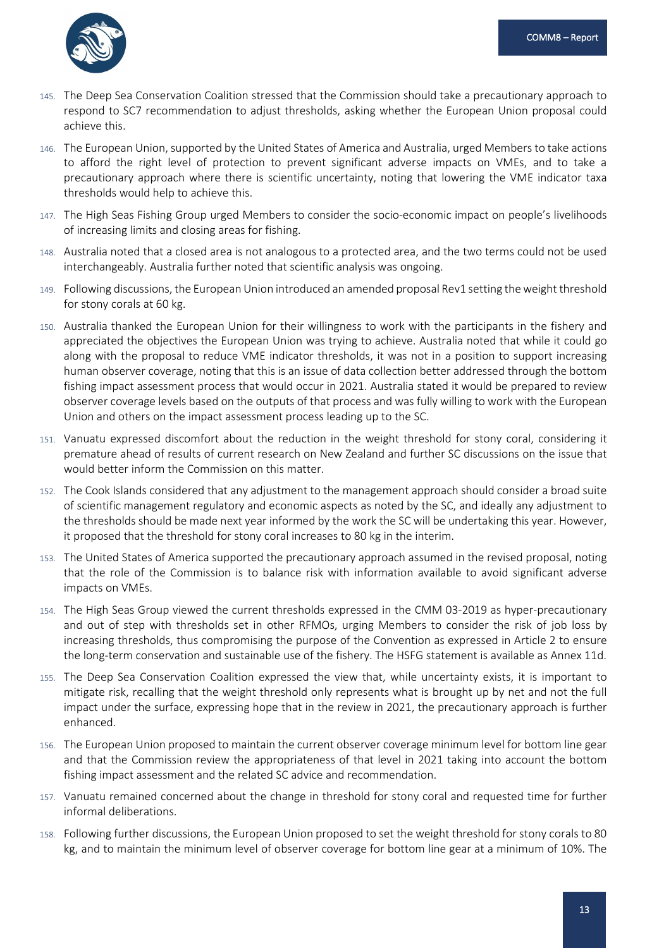

- 145. The Deep Sea Conservation Coalition stressed that the Commission should take a precautionary approach to respond to SC7 recommendation to adjust thresholds, asking whether the European Union proposal could achieve this.
- 146. The European Union, supported by the United States of America and Australia, urged Members to take actions to afford the right level of protection to prevent significant adverse impacts on VMEs, and to take a precautionary approach where there is scientific uncertainty, noting that lowering the VME indicator taxa thresholds would help to achieve this.
- 147. The High Seas Fishing Group urged Members to consider the socio-economic impact on people's livelihoods of increasing limits and closing areas for fishing.
- 148. Australia noted that a closed area is not analogous to a protected area, and the two terms could not be used interchangeably. Australia further noted that scientific analysis was ongoing.
- 149. Following discussions, the European Union introduced an amended proposal Rev1 setting the weight threshold for stony corals at 60 kg.
- 150. Australia thanked the European Union for their willingness to work with the participants in the fishery and appreciated the objectives the European Union was trying to achieve. Australia noted that while it could go along with the proposal to reduce VME indicator thresholds, it was not in a position to support increasing human observer coverage, noting that this is an issue of data collection better addressed through the bottom fishing impact assessment process that would occur in 2021. Australia stated it would be prepared to review observer coverage levels based on the outputs of that process and was fully willing to work with the European Union and others on the impact assessment process leading up to the SC.
- 151. Vanuatu expressed discomfort about the reduction in the weight threshold for stony coral, considering it premature ahead of results of current research on New Zealand and further SC discussions on the issue that would better inform the Commission on this matter.
- 152. The Cook Islands considered that any adjustment to the management approach should consider a broad suite of scientific management regulatory and economic aspects as noted by the SC, and ideally any adjustment to the thresholds should be made next year informed by the work the SC will be undertaking this year. However, it proposed that the threshold for stony coral increases to 80 kg in the interim.
- 153. The United States of America supported the precautionary approach assumed in the revised proposal, noting that the role of the Commission is to balance risk with information available to avoid significant adverse impacts on VMEs.
- 154. The High Seas Group viewed the current thresholds expressed in the CMM 03-2019 as hyper-precautionary and out of step with thresholds set in other RFMOs, urging Members to consider the risk of job loss by increasing thresholds, thus compromising the purpose of the Convention as expressed in Article 2 to ensure the long-term conservation and sustainable use of the fishery. The HSFG statement is available as Annex 11d.
- 155. The Deep Sea Conservation Coalition expressed the view that, while uncertainty exists, it is important to mitigate risk, recalling that the weight threshold only represents what is brought up by net and not the full impact under the surface, expressing hope that in the review in 2021, the precautionary approach is further enhanced.
- 156. The European Union proposed to maintain the current observer coverage minimum level for bottom line gear and that the Commission review the appropriateness of that level in 2021 taking into account the bottom fishing impact assessment and the related SC advice and recommendation.
- 157. Vanuatu remained concerned about the change in threshold for stony coral and requested time for further informal deliberations.
- 158. Following further discussions, the European Union proposed to set the weight threshold for stony corals to 80 kg, and to maintain the minimum level of observer coverage for bottom line gear at a minimum of 10%. The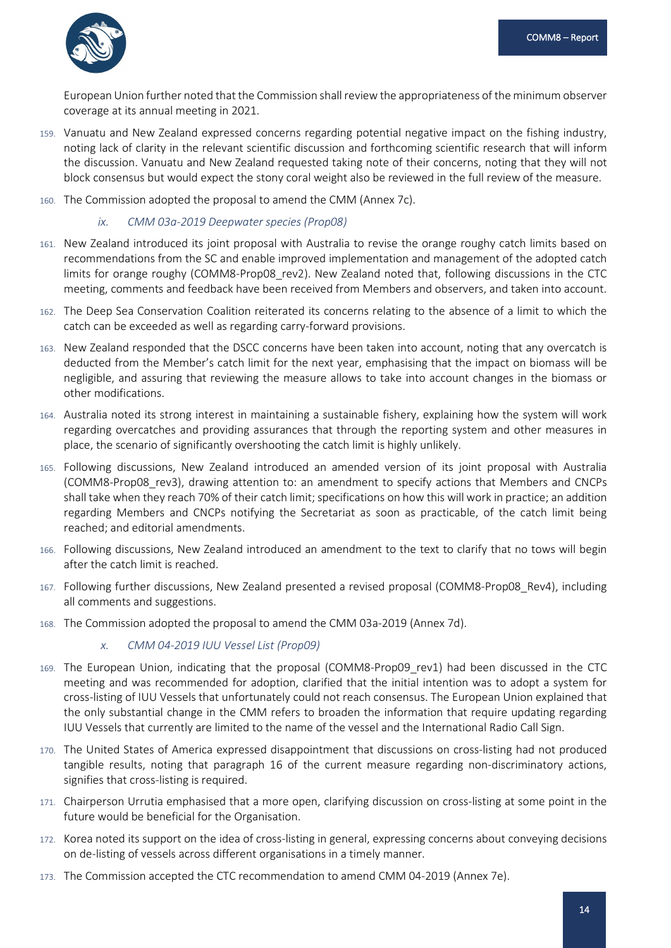

European Union further noted that the Commission shall review the appropriateness of the minimum observer coverage at its annual meeting in 2021.

- 159. Vanuatu and New Zealand expressed concerns regarding potential negative impact on the fishing industry, noting lack of clarity in the relevant scientific discussion and forthcoming scientific research that will inform the discussion. Vanuatu and New Zealand requested taking note of their concerns, noting that they will not block consensus but would expect the stony coral weight also be reviewed in the full review of the measure.
- 160. The Commission adopted the proposal to amend the CMM (Annex 7c).

*ix. CMM 03a-2019 Deepwater species (Prop08)*

- 161. New Zealand introduced its joint proposal with Australia to revise the orange roughy catch limits based on recommendations from the SC and enable improved implementation and management of the adopted catch limits for orange roughy (COMM8-Prop08 rev2). New Zealand noted that, following discussions in the CTC meeting, comments and feedback have been received from Members and observers, and taken into account.
- 162. The Deep Sea Conservation Coalition reiterated its concerns relating to the absence of a limit to which the catch can be exceeded as well as regarding carry-forward provisions.
- 163. New Zealand responded that the DSCC concerns have been taken into account, noting that any overcatch is deducted from the Member's catch limit for the next year, emphasising that the impact on biomass will be negligible, and assuring that reviewing the measure allows to take into account changes in the biomass or other modifications.
- 164. Australia noted its strong interest in maintaining a sustainable fishery, explaining how the system will work regarding overcatches and providing assurances that through the reporting system and other measures in place, the scenario of significantly overshooting the catch limit is highly unlikely.
- 165. Following discussions, New Zealand introduced an amended version of its joint proposal with Australia (COMM8-Prop08\_rev3), drawing attention to: an amendment to specify actions that Members and CNCPs shall take when they reach 70% of their catch limit; specifications on how this will work in practice; an addition regarding Members and CNCPs notifying the Secretariat as soon as practicable, of the catch limit being reached; and editorial amendments.
- 166. Following discussions, New Zealand introduced an amendment to the text to clarify that no tows will begin after the catch limit is reached.
- 167. Following further discussions, New Zealand presented a revised proposal (COMM8-Prop08\_Rev4), including all comments and suggestions.
- 168. The Commission adopted the proposal to amend the CMM 03a-2019 (Annex 7d).

#### *x. CMM 04-2019 IUU Vessel List (Prop09)*

- 169. The European Union, indicating that the proposal (COMM8-Prop09\_rev1) had been discussed in the CTC meeting and was recommended for adoption, clarified that the initial intention was to adopt a system for cross-listing of IUU Vessels that unfortunately could not reach consensus. The European Union explained that the only substantial change in the CMM refers to broaden the information that require updating regarding IUU Vessels that currently are limited to the name of the vessel and the International Radio Call Sign.
- 170. The United States of America expressed disappointment that discussions on cross-listing had not produced tangible results, noting that paragraph 16 of the current measure regarding non-discriminatory actions, signifies that cross-listing is required.
- 171. Chairperson Urrutia emphasised that a more open, clarifying discussion on cross-listing at some point in the future would be beneficial for the Organisation.
- 172. Korea noted its support on the idea of cross-listing in general, expressing concerns about conveying decisions on de-listing of vessels across different organisations in a timely manner.
- 173. The Commission accepted the CTC recommendation to amend CMM 04-2019 (Annex 7e).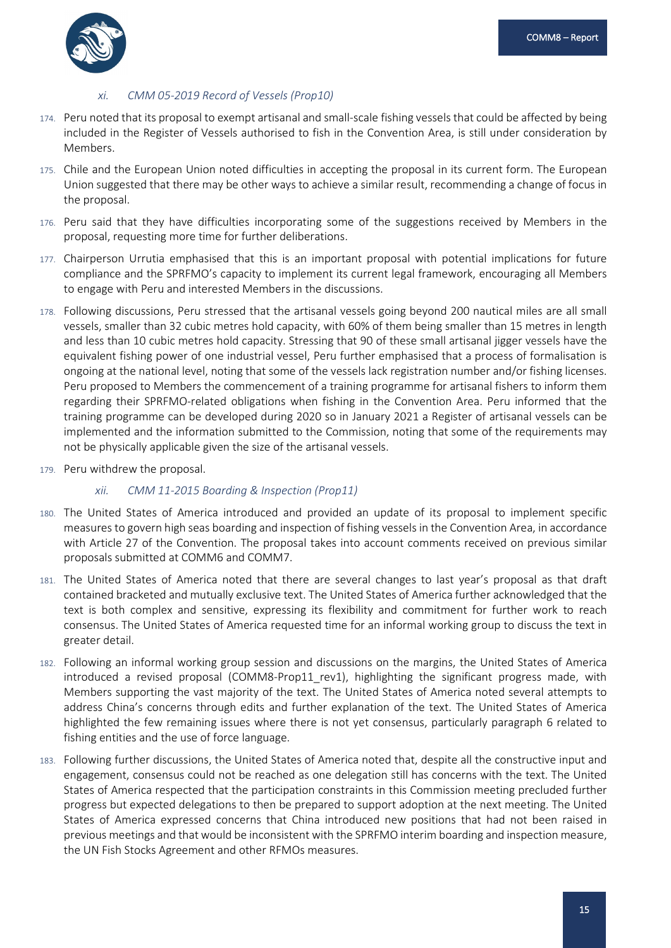

## *xi. CMM 05-2019 Record of Vessels (Prop10)*

- 174. Peru noted that its proposal to exempt artisanal and small-scale fishing vessels that could be affected by being included in the Register of Vessels authorised to fish in the Convention Area, is still under consideration by Members.
- 175. Chile and the European Union noted difficulties in accepting the proposal in its current form. The European Union suggested that there may be other ways to achieve a similar result, recommending a change of focus in the proposal.
- 176. Peru said that they have difficulties incorporating some of the suggestions received by Members in the proposal, requesting more time for further deliberations.
- 177. Chairperson Urrutia emphasised that this is an important proposal with potential implications for future compliance and the SPRFMO's capacity to implement its current legal framework, encouraging all Members to engage with Peru and interested Members in the discussions.
- 178. Following discussions, Peru stressed that the artisanal vessels going beyond 200 nautical miles are all small vessels, smaller than 32 cubic metres hold capacity, with 60% of them being smaller than 15 metres in length and less than 10 cubic metres hold capacity. Stressing that 90 of these small artisanal jigger vessels have the equivalent fishing power of one industrial vessel, Peru further emphasised that a process of formalisation is ongoing at the national level, noting that some of the vessels lack registration number and/or fishing licenses. Peru proposed to Members the commencement of a training programme for artisanal fishers to inform them regarding their SPRFMO-related obligations when fishing in the Convention Area. Peru informed that the training programme can be developed during 2020 so in January 2021 a Register of artisanal vessels can be implemented and the information submitted to the Commission, noting that some of the requirements may not be physically applicable given the size of the artisanal vessels.
- 179. Peru withdrew the proposal.

#### *xii. CMM 11-2015 Boarding & Inspection (Prop11)*

- 180. The United States of America introduced and provided an update of its proposal to implement specific measures to govern high seas boarding and inspection of fishing vessels in the Convention Area, in accordance with Article 27 of the Convention. The proposal takes into account comments received on previous similar proposals submitted at COMM6 and COMM7.
- 181. The United States of America noted that there are several changes to last year's proposal as that draft contained bracketed and mutually exclusive text. The United States of America further acknowledged that the text is both complex and sensitive, expressing its flexibility and commitment for further work to reach consensus. The United States of America requested time for an informal working group to discuss the text in greater detail.
- 182. Following an informal working group session and discussions on the margins, the United States of America introduced a revised proposal (COMM8-Prop11\_rev1), highlighting the significant progress made, with Members supporting the vast majority of the text. The United States of America noted several attempts to address China's concerns through edits and further explanation of the text. The United States of America highlighted the few remaining issues where there is not yet consensus, particularly paragraph 6 related to fishing entities and the use of force language.
- 183. Following further discussions, the United States of America noted that, despite all the constructive input and engagement, consensus could not be reached as one delegation still has concerns with the text. The United States of America respected that the participation constraints in this Commission meeting precluded further progress but expected delegations to then be prepared to support adoption at the next meeting. The United States of America expressed concerns that China introduced new positions that had not been raised in previous meetings and that would be inconsistent with the SPRFMO interim boarding and inspection measure, the UN Fish Stocks Agreement and other RFMOs measures.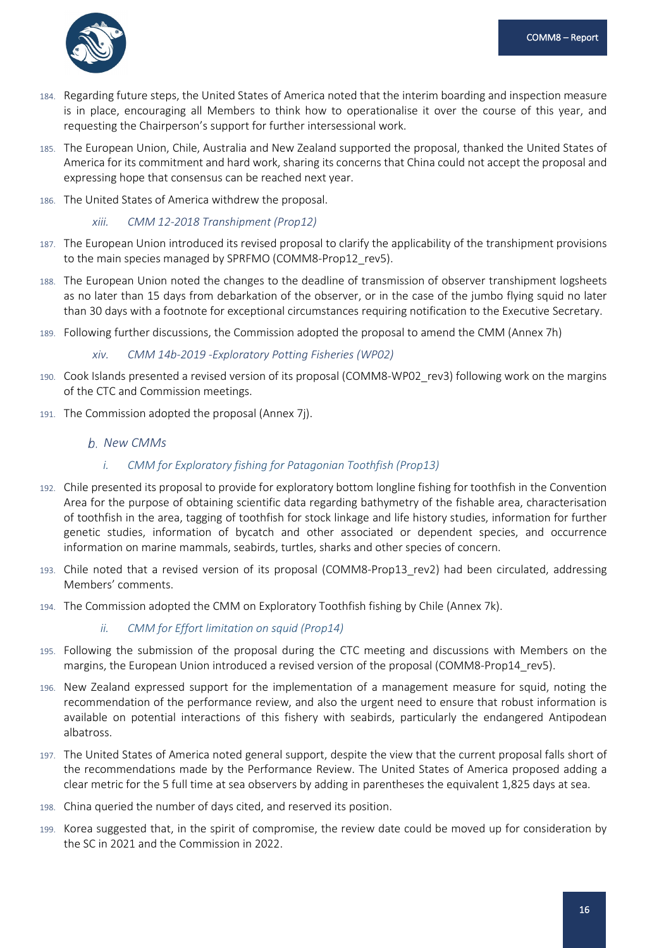

- 184. Regarding future steps, the United States of America noted that the interim boarding and inspection measure is in place, encouraging all Members to think how to operationalise it over the course of this year, and requesting the Chairperson's support for further intersessional work.
- 185. The European Union, Chile, Australia and New Zealand supported the proposal, thanked the United States of America for its commitment and hard work, sharing its concerns that China could not accept the proposal and expressing hope that consensus can be reached next year.
- 186. The United States of America withdrew the proposal.

#### *xiii. CMM 12-2018 Transhipment (Prop12)*

- 187. The European Union introduced its revised proposal to clarify the applicability of the transhipment provisions to the main species managed by SPRFMO (COMM8-Prop12 rev5).
- 188. The European Union noted the changes to the deadline of transmission of observer transhipment logsheets as no later than 15 days from debarkation of the observer, or in the case of the jumbo flying squid no later than 30 days with a footnote for exceptional circumstances requiring notification to the Executive Secretary.
- 189. Following further discussions, the Commission adopted the proposal to amend the CMM (Annex 7h)

#### *xiv. CMM 14b-2019 -Exploratory Potting Fisheries (WP02)*

- 190. Cook Islands presented a revised version of its proposal (COMM8-WP02\_rev3) following work on the margins of the CTC and Commission meetings.
- 191. The Commission adopted the proposal (Annex 7j).

#### <span id="page-18-0"></span>*New CMMs*

- *i. CMM for Exploratory fishing for Patagonian Toothfish (Prop13)*
- 192. Chile presented its proposal to provide for exploratory bottom longline fishing for toothfish in the Convention Area for the purpose of obtaining scientific data regarding bathymetry of the fishable area, characterisation of toothfish in the area, tagging of toothfish for stock linkage and life history studies, information for further genetic studies, information of bycatch and other associated or dependent species, and occurrence information on marine mammals, seabirds, turtles, sharks and other species of concern.
- 193. Chile noted that a revised version of its proposal (COMM8-Prop13\_rev2) had been circulated, addressing Members' comments.
- 194. The Commission adopted the CMM on Exploratory Toothfish fishing by Chile (Annex 7k).

#### *ii. CMM for Effort limitation on squid (Prop14)*

- 195. Following the submission of the proposal during the CTC meeting and discussions with Members on the margins, the European Union introduced a revised version of the proposal (COMM8-Prop14 rev5).
- 196. New Zealand expressed support for the implementation of a management measure for squid, noting the recommendation of the performance review, and also the urgent need to ensure that robust information is available on potential interactions of this fishery with seabirds, particularly the endangered Antipodean albatross.
- 197. The United States of America noted general support, despite the view that the current proposal falls short of the recommendations made by the Performance Review. The United States of America proposed adding a clear metric for the 5 full time at sea observers by adding in parentheses the equivalent 1,825 days at sea.
- 198. China queried the number of days cited, and reserved its position.
- 199. Korea suggested that, in the spirit of compromise, the review date could be moved up for consideration by the SC in 2021 and the Commission in 2022.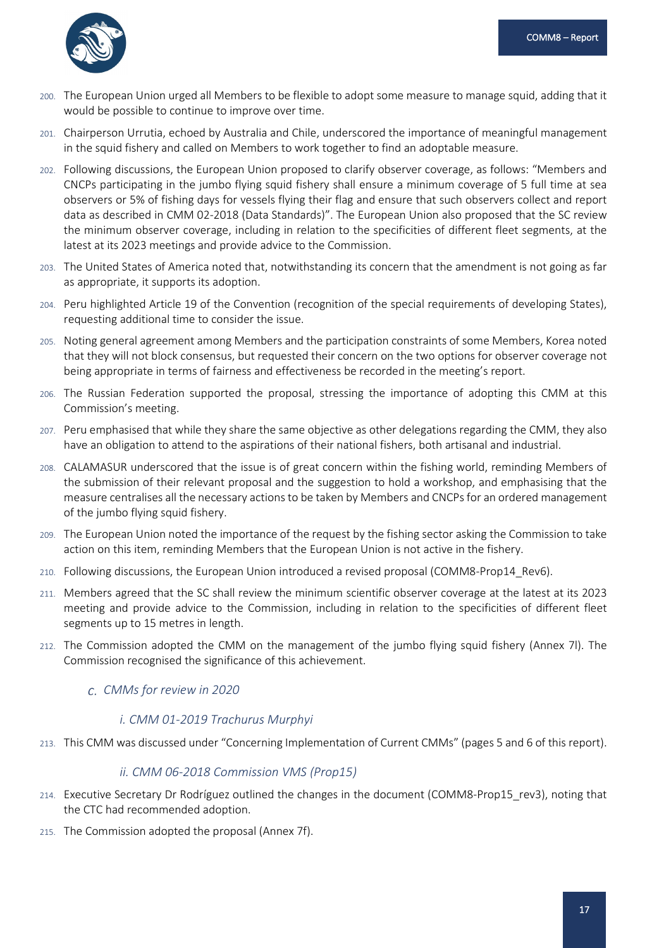

- 200. The European Union urged all Members to be flexible to adopt some measure to manage squid, adding that it would be possible to continue to improve over time.
- 201. Chairperson Urrutia, echoed by Australia and Chile, underscored the importance of meaningful management in the squid fishery and called on Members to work together to find an adoptable measure.
- 202. Following discussions, the European Union proposed to clarify observer coverage, as follows: "Members and CNCPs participating in the jumbo flying squid fishery shall ensure a minimum coverage of 5 full time at sea observers or 5% of fishing days for vessels flying their flag and ensure that such observers collect and report data as described in CMM 02-2018 (Data Standards)". The European Union also proposed that the SC review the minimum observer coverage, including in relation to the specificities of different fleet segments, at the latest at its 2023 meetings and provide advice to the Commission.
- 203. The United States of America noted that, notwithstanding its concern that the amendment is not going as far as appropriate, it supports its adoption.
- 204. Peru highlighted Article 19 of the Convention (recognition of the special requirements of developing States), requesting additional time to consider the issue.
- 205. Noting general agreement among Members and the participation constraints of some Members, Korea noted that they will not block consensus, but requested their concern on the two options for observer coverage not being appropriate in terms of fairness and effectiveness be recorded in the meeting's report.
- 206. The Russian Federation supported the proposal, stressing the importance of adopting this CMM at this Commission's meeting.
- 207. Peru emphasised that while they share the same objective as other delegations regarding the CMM, they also have an obligation to attend to the aspirations of their national fishers, both artisanal and industrial.
- 208. CALAMASUR underscored that the issue is of great concern within the fishing world, reminding Members of the submission of their relevant proposal and the suggestion to hold a workshop, and emphasising that the measure centralises all the necessary actions to be taken by Members and CNCPs for an ordered management of the jumbo flying squid fishery.
- 209. The European Union noted the importance of the request by the fishing sector asking the Commission to take action on this item, reminding Members that the European Union is not active in the fishery.
- 210. Following discussions, the European Union introduced a revised proposal (COMM8-Prop14\_Rev6).
- 211. Members agreed that the SC shall review the minimum scientific observer coverage at the latest at its 2023 meeting and provide advice to the Commission, including in relation to the specificities of different fleet segments up to 15 metres in length.
- <span id="page-19-0"></span>212. The Commission adopted the CMM on the management of the jumbo flying squid fishery (Annex 7l). The Commission recognised the significance of this achievement.
	- *CMMs for review in 2020*

#### *i. CMM 01-2019 Trachurus Murphyi*

213. This CMM was discussed under "Concerning Implementation of Current CMMs" (pages 5 and 6 of this report).

#### *ii. CMM 06-2018 Commission VMS (Prop15)*

- 214. Executive Secretary Dr Rodríguez outlined the changes in the document (COMM8-Prop15 rev3), noting that the CTC had recommended adoption.
- 215. The Commission adopted the proposal (Annex 7f).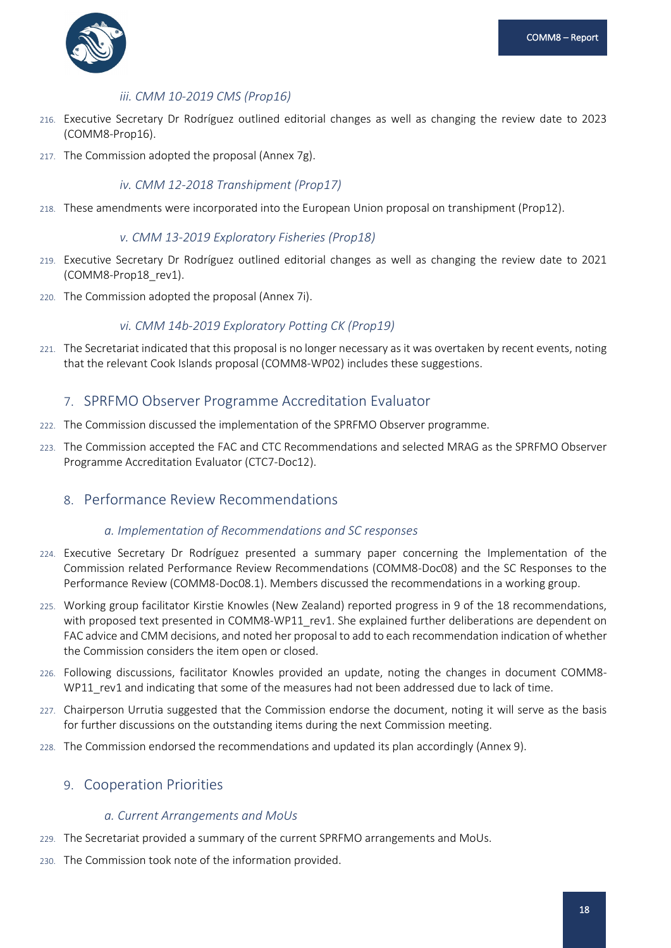

## *iii. CMM 10-2019 CMS (Prop16)*

- 216. Executive Secretary Dr Rodríguez outlined editorial changes as well as changing the review date to 2023 (COMM8-Prop16).
- 217. The Commission adopted the proposal (Annex 7g).

## *iv. CMM 12-2018 Transhipment (Prop17)*

218. These amendments were incorporated into the European Union proposal on transhipment (Prop12).

### *v. CMM 13-2019 Exploratory Fisheries (Prop18)*

- 219. Executive Secretary Dr Rodríguez outlined editorial changes as well as changing the review date to 2021 (COMM8-Prop18\_rev1).
- 220. The Commission adopted the proposal (Annex 7i).

## *vi. CMM 14b-2019 Exploratory Potting CK (Prop19)*

221. The Secretariat indicated that this proposal is no longer necessary as it was overtaken by recent events, noting that the relevant Cook Islands proposal (COMM8-WP02) includes these suggestions.

## <span id="page-20-0"></span>7. SPRFMO Observer Programme Accreditation Evaluator

- 222. The Commission discussed the implementation of the SPRFMO Observer programme.
- 223. The Commission accepted the FAC and CTC Recommendations and selected MRAG as the SPRFMO Observer Programme Accreditation Evaluator (CTC7-Doc12).

## <span id="page-20-2"></span><span id="page-20-1"></span>8. Performance Review Recommendations

#### *a. Implementation of Recommendations and SC responses*

- 224. Executive Secretary Dr Rodríguez presented a summary paper concerning the Implementation of the Commission related Performance Review Recommendations (COMM8-Doc08) and the SC Responses to the Performance Review (COMM8-Doc08.1). Members discussed the recommendations in a working group.
- 225. Working group facilitator Kirstie Knowles (New Zealand) reported progress in 9 of the 18 recommendations, with proposed text presented in COMM8-WP11\_rev1. She explained further deliberations are dependent on FAC advice and CMM decisions, and noted her proposal to add to each recommendation indication of whether the Commission considers the item open or closed.
- 226. Following discussions, facilitator Knowles provided an update, noting the changes in document COMM8- WP11 rev1 and indicating that some of the measures had not been addressed due to lack of time.
- 227. Chairperson Urrutia suggested that the Commission endorse the document, noting it will serve as the basis for further discussions on the outstanding items during the next Commission meeting.
- 228. The Commission endorsed the recommendations and updated its plan accordingly (Annex 9).

## <span id="page-20-4"></span><span id="page-20-3"></span>9. Cooperation Priorities

#### *a. Current Arrangements and MoUs*

- 229. The Secretariat provided a summary of the current SPRFMO arrangements and MoUs.
- 230. The Commission took note of the information provided.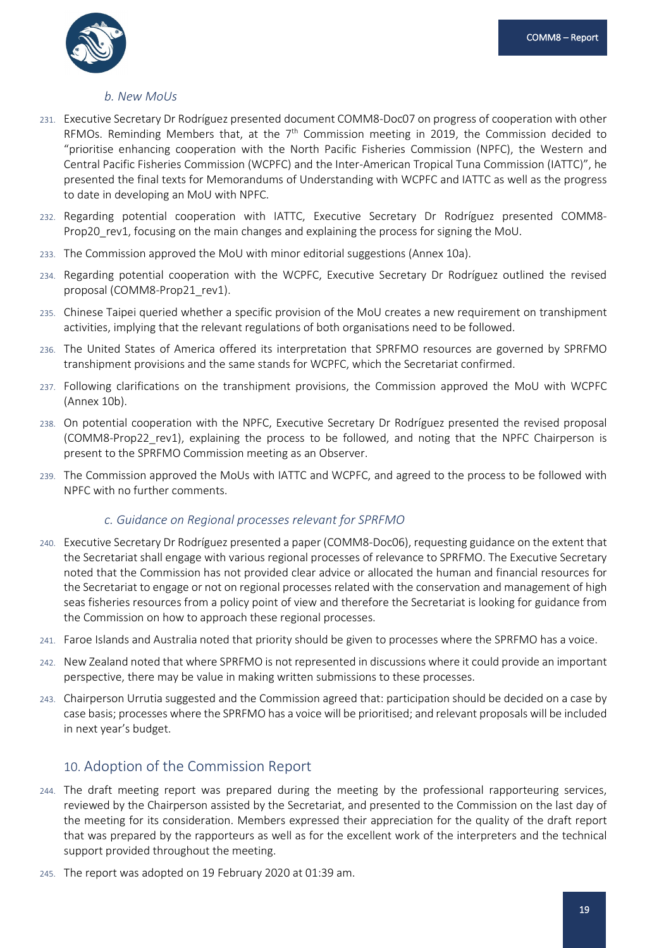

#### *b. New MoUs*

- <span id="page-21-0"></span>231. Executive Secretary Dr Rodríguez presented document COMM8-Doc07 on progress of cooperation with other RFMOs. Reminding Members that, at the  $7<sup>th</sup>$  Commission meeting in 2019, the Commission decided to "prioritise enhancing cooperation with the North Pacific Fisheries Commission (NPFC), the Western and Central Pacific Fisheries Commission (WCPFC) and the Inter-American Tropical Tuna Commission (IATTC)", he presented the final texts for Memorandums of Understanding with WCPFC and IATTC as well as the progress to date in developing an MoU with NPFC.
- 232. Regarding potential cooperation with IATTC, Executive Secretary Dr Rodríguez presented COMM8- Prop20 rev1, focusing on the main changes and explaining the process for signing the MoU.
- 233. The Commission approved the MoU with minor editorial suggestions (Annex 10a).
- 234. Regarding potential cooperation with the WCPFC, Executive Secretary Dr Rodríguez outlined the revised proposal (COMM8-Prop21\_rev1).
- 235. Chinese Taipei queried whether a specific provision of the MoU creates a new requirement on transhipment activities, implying that the relevant regulations of both organisations need to be followed.
- 236. The United States of America offered its interpretation that SPRFMO resources are governed by SPRFMO transhipment provisions and the same stands for WCPFC, which the Secretariat confirmed.
- 237. Following clarifications on the transhipment provisions, the Commission approved the MoU with WCPFC (Annex 10b).
- 238. On potential cooperation with the NPFC, Executive Secretary Dr Rodríguez presented the revised proposal (COMM8-Prop22\_rev1), explaining the process to be followed, and noting that the NPFC Chairperson is present to the SPRFMO Commission meeting as an Observer.
- 239. The Commission approved the MoUs with IATTC and WCPFC, and agreed to the process to be followed with NPFC with no further comments.

#### *c. Guidance on Regional processes relevant for SPRFMO*

- <span id="page-21-1"></span>240. Executive Secretary Dr Rodríguez presented a paper (COMM8-Doc06), requesting guidance on the extent that the Secretariat shall engage with various regional processes of relevance to SPRFMO. The Executive Secretary noted that the Commission has not provided clear advice or allocated the human and financial resources for the Secretariat to engage or not on regional processes related with the conservation and management of high seas fisheries resources from a policy point of view and therefore the Secretariat is looking for guidance from the Commission on how to approach these regional processes.
- 241. Faroe Islands and Australia noted that priority should be given to processes where the SPRFMO has a voice.
- 242. New Zealand noted that where SPRFMO is not represented in discussions where it could provide an important perspective, there may be value in making written submissions to these processes.
- 243. Chairperson Urrutia suggested and the Commission agreed that: participation should be decided on a case by case basis; processes where the SPRFMO has a voice will be prioritised; and relevant proposals will be included in next year's budget.

## <span id="page-21-2"></span>10. Adoption of the Commission Report

- 244. The draft meeting report was prepared during the meeting by the professional rapporteuring services, reviewed by the Chairperson assisted by the Secretariat, and presented to the Commission on the last day of the meeting for its consideration. Members expressed their appreciation for the quality of the draft report that was prepared by the rapporteurs as well as for the excellent work of the interpreters and the technical support provided throughout the meeting.
- 245. The report was adopted on 19 February 2020 at 01:39 am.